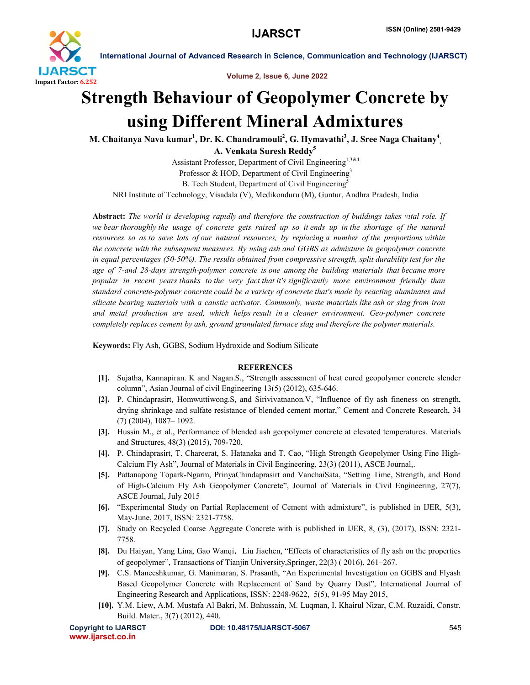

International Journal of Advanced Research in Science, Communication and Technology (IJARSCT)

Volume 2, Issue 6, June 2022

# Strength Behaviour of Geopolymer Concrete by using Different Mineral Admixtures

M. Chaitanya Nava kumar $^1$ , Dr. K. Chandramouli $^2$ , G. Hymavathi $^3$ , J. Sree Naga Chaitany $^4_{\cdot, \cdot}$ A. Venkata Suresh Reddy<sup>5</sup>

Assistant Professor, Department of Civil Engineering<sup>1,3&4</sup> Professor & HOD, Department of Civil Engineering<sup>3</sup> B. Tech Student, Department of Civil Engineering<sup>5</sup> NRI Institute of Technology, Visadala (V), Medikonduru (M), Guntur, Andhra Pradesh, India

Abstract: *The world is developing rapidly and therefore the construction of buildings takes vital role. If we bear thoroughly the usage of concrete gets raised up so it ends up in the shortage of the natural resources. so as to save lots of our natural resources, by replacing a number of the proportions within the concrete with the subsequent measures. By using ash and GGBS as admixture in geopolymer concrete in equal percentages (50-50%). The results obtained from compressive strength, split durability test for the age of 7-and 28-days strength-polymer concrete is one among the building materials that became more popular in recent years thanks to the very fact that it's significantly more environment friendly than standard concrete-polymer concrete could be a variety of concrete that's made by reacting aluminates and silicate bearing materials with a caustic activator. Commonly, waste materials like ash or slag from iron and metal production are used, which helps result in a cleaner environment. Geo-polymer concrete completely replaces cement by ash, ground granulated furnace slag and therefore the polymer materials.*

Keywords: Fly Ash, GGBS, Sodium Hydroxide and Sodium Silicate

## **REFERENCES**

- [1]. Sujatha, Kannapiran. K and Nagan.S., "Strength assessment of heat cured geopolymer concrete slender column", Asian Journal of civil Engineering 13(5) (2012), 635-646.
- [2]. P. Chindaprasirt, Homwuttiwong.S, and Sirivivatnanon.V, "Influence of fly ash fineness on strength, drying shrinkage and sulfate resistance of blended cement mortar," Cement and Concrete Research, 34 (7) (2004), 1087– 1092.
- [3]. Hussin M., et al., Performance of blended ash geopolymer concrete at elevated temperatures. Materials and Structures, 48(3) (2015), 709-720.
- [4]. P. Chindaprasirt, T. Chareerat, S. Hatanaka and T. Cao, "High Strength Geopolymer Using Fine High-Calcium Fly Ash", Journal of Materials in Civil Engineering, 23(3) (2011), ASCE Journal,.
- [5]. Pattanapong Topark-Ngarm, PrinyaChindaprasirt and VanchaiSata, "Setting Time, Strength, and Bond of High-Calcium Fly Ash Geopolymer Concrete", Journal of Materials in Civil Engineering, 27(7), ASCE Journal, July 2015
- [6]. "Experimental Study on Partial Replacement of Cement with admixture", is published in IJER, 5(3), May-June, 2017, ISSN: 2321-7758.
- [7]. Study on Recycled Coarse Aggregate Concrete with is published in IJER, 8, (3), (2017), ISSN: 2321- 7758.
- [8]. Du Haiyan, Yang Lina, Gao Wanqi, Liu Jiachen, "Effects of characteristics of fly ash on the properties of geopolymer", Transactions of Tianjin University,Springer, 22(3) ( 2016), 261–267.
- [9]. C.S. Maneeshkumar, G. Manimaran, S. Prasanth, "An Experimental Investigation on GGBS and Flyash Based Geopolymer Concrete with Replacement of Sand by Quarry Dust", International Journal of Engineering Research and Applications, ISSN: 2248-9622, 5(5), 91-95 May 2015,
- [10]. Y.M. Liew, A.M. Mustafa Al Bakri, M. Bnhussain, M. Luqman, I. Khairul Nizar, C.M. Ruzaidi, Constr. Build. Mater., 3(7) (2012), 440.

www.ijarsct.co.in